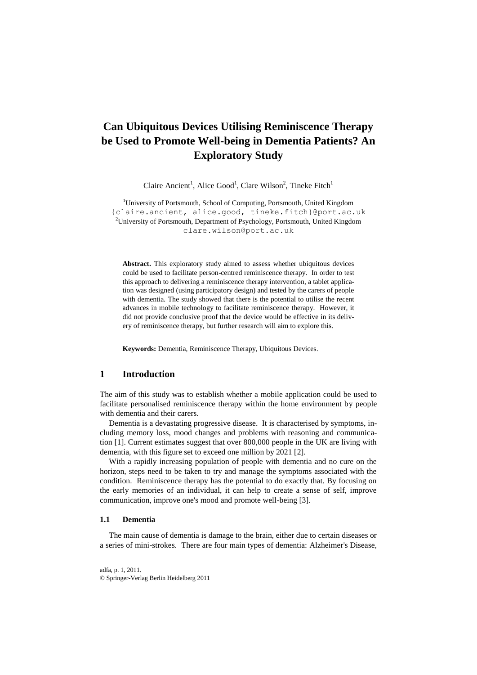# **Can Ubiquitous Devices Utilising Reminiscence Therapy be Used to Promote Well-being in Dementia Patients? An Exploratory Study**

Claire Ancient<sup>1</sup>, Alice Good<sup>1</sup>, Clare Wilson<sup>2</sup>, Tineke Fitch<sup>1</sup>

<sup>1</sup>University of Portsmouth, School of Computing, Portsmouth, United Kingdom {claire.ancient, alice.good, [tineke.fitch}@port.ac.uk](mailto:tineke.fitch%7d@port.ac.uk) <sup>2</sup>University of Portsmouth, Department of Psychology, Portsmouth, United Kingdom clare.wilson@port.ac.uk

**Abstract.** This exploratory study aimed to assess whether ubiquitous devices could be used to facilitate person-centred reminiscence therapy. In order to test this approach to delivering a reminiscence therapy intervention, a tablet application was designed (using participatory design) and tested by the carers of people with dementia. The study showed that there is the potential to utilise the recent advances in mobile technology to facilitate reminiscence therapy. However, it did not provide conclusive proof that the device would be effective in its delivery of reminiscence therapy, but further research will aim to explore this.

**Keywords:** Dementia, Reminiscence Therapy, Ubiquitous Devices.

# **1 Introduction**

The aim of this study was to establish whether a mobile application could be used to facilitate personalised reminiscence therapy within the home environment by people with dementia and their carers.

Dementia is a devastating progressive disease. It is characterised by symptoms, including memory loss, mood changes and problems with reasoning and communication [1]. Current estimates suggest that over 800,000 people in the UK are living with dementia, with this figure set to exceed one million by 2021 [2].

With a rapidly increasing population of people with dementia and no cure on the horizon, steps need to be taken to try and manage the symptoms associated with the condition. Reminiscence therapy has the potential to do exactly that. By focusing on the early memories of an individual, it can help to create a sense of self, improve communication, improve one's mood and promote well-being [3].

## **1.1 Dementia**

The main cause of dementia is damage to the brain, either due to certain diseases or a series of mini-strokes. There are four main types of dementia: Alzheimer's Disease,

adfa, p. 1, 2011. © Springer-Verlag Berlin Heidelberg 2011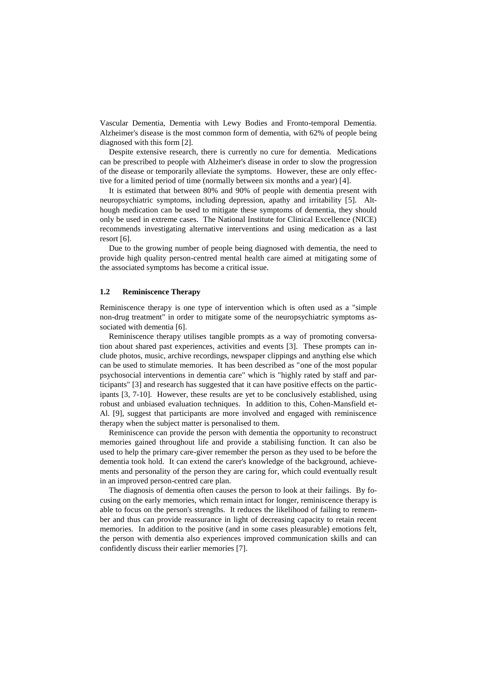Vascular Dementia, Dementia with Lewy Bodies and Fronto-temporal Dementia. Alzheimer's disease is the most common form of dementia, with 62% of people being diagnosed with this form [2].

Despite extensive research, there is currently no cure for dementia. Medications can be prescribed to people with Alzheimer's disease in order to slow the progression of the disease or temporarily alleviate the symptoms. However, these are only effective for a limited period of time (normally between six months and a year) [4].

It is estimated that between 80% and 90% of people with dementia present with neuropsychiatric symptoms, including depression, apathy and irritability [5]. Although medication can be used to mitigate these symptoms of dementia, they should only be used in extreme cases. The National Institute for Clinical Excellence (NICE) recommends investigating alternative interventions and using medication as a last resort [6].

Due to the growing number of people being diagnosed with dementia, the need to provide high quality person-centred mental health care aimed at mitigating some of the associated symptoms has become a critical issue.

#### **1.2 Reminiscence Therapy**

Reminiscence therapy is one type of intervention which is often used as a "simple non-drug treatment" in order to mitigate some of the neuropsychiatric symptoms associated with dementia [6].

Reminiscence therapy utilises tangible prompts as a way of promoting conversation about shared past experiences, activities and events [3]. These prompts can include photos, music, archive recordings, newspaper clippings and anything else which can be used to stimulate memories. It has been described as "one of the most popular psychosocial interventions in dementia care" which is "highly rated by staff and participants" [3] and research has suggested that it can have positive effects on the participants [3, 7-10]. However, these results are yet to be conclusively established, using robust and unbiased evaluation techniques. In addition to this, Cohen-Mansfield et-Al. [9], suggest that participants are more involved and engaged with reminiscence therapy when the subject matter is personalised to them.

Reminiscence can provide the person with dementia the opportunity to reconstruct memories gained throughout life and provide a stabilising function. It can also be used to help the primary care-giver remember the person as they used to be before the dementia took hold. It can extend the carer's knowledge of the background, achievements and personality of the person they are caring for, which could eventually result in an improved person-centred care plan.

The diagnosis of dementia often causes the person to look at their failings. By focusing on the early memories, which remain intact for longer, reminiscence therapy is able to focus on the person's strengths. It reduces the likelihood of failing to remember and thus can provide reassurance in light of decreasing capacity to retain recent memories. In addition to the positive (and in some cases pleasurable) emotions felt, the person with dementia also experiences improved communication skills and can confidently discuss their earlier memories [7].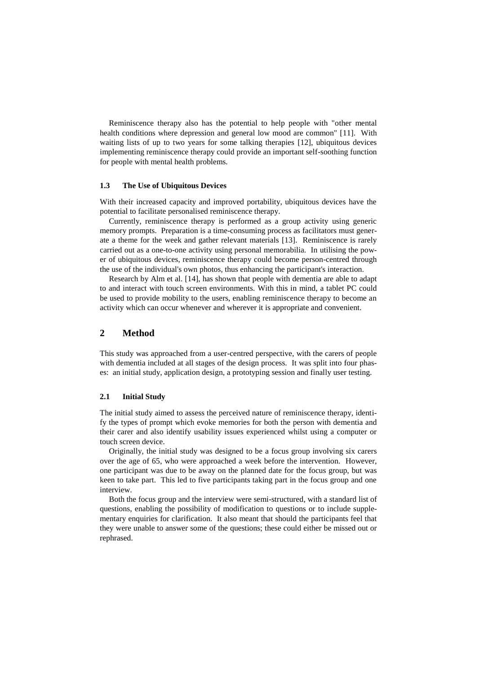Reminiscence therapy also has the potential to help people with "other mental health conditions where depression and general low mood are common" [11]. With waiting lists of up to two years for some talking therapies [12], ubiquitous devices implementing reminiscence therapy could provide an important self-soothing function for people with mental health problems.

## **1.3 The Use of Ubiquitous Devices**

With their increased capacity and improved portability, ubiquitous devices have the potential to facilitate personalised reminiscence therapy.

Currently, reminiscence therapy is performed as a group activity using generic memory prompts. Preparation is a time-consuming process as facilitators must generate a theme for the week and gather relevant materials [13]. Reminiscence is rarely carried out as a one-to-one activity using personal memorabilia. In utilising the power of ubiquitous devices, reminiscence therapy could become person-centred through the use of the individual's own photos, thus enhancing the participant's interaction.

Research by Alm et al. [14], has shown that people with dementia are able to adapt to and interact with touch screen environments. With this in mind, a tablet PC could be used to provide mobility to the users, enabling reminiscence therapy to become an activity which can occur whenever and wherever it is appropriate and convenient.

# **2 Method**

This study was approached from a user-centred perspective, with the carers of people with dementia included at all stages of the design process. It was split into four phases: an initial study, application design, a prototyping session and finally user testing.

## **2.1 Initial Study**

The initial study aimed to assess the perceived nature of reminiscence therapy, identify the types of prompt which evoke memories for both the person with dementia and their carer and also identify usability issues experienced whilst using a computer or touch screen device.

Originally, the initial study was designed to be a focus group involving six carers over the age of 65, who were approached a week before the intervention. However, one participant was due to be away on the planned date for the focus group, but was keen to take part. This led to five participants taking part in the focus group and one interview.

Both the focus group and the interview were semi-structured, with a standard list of questions, enabling the possibility of modification to questions or to include supplementary enquiries for clarification. It also meant that should the participants feel that they were unable to answer some of the questions; these could either be missed out or rephrased.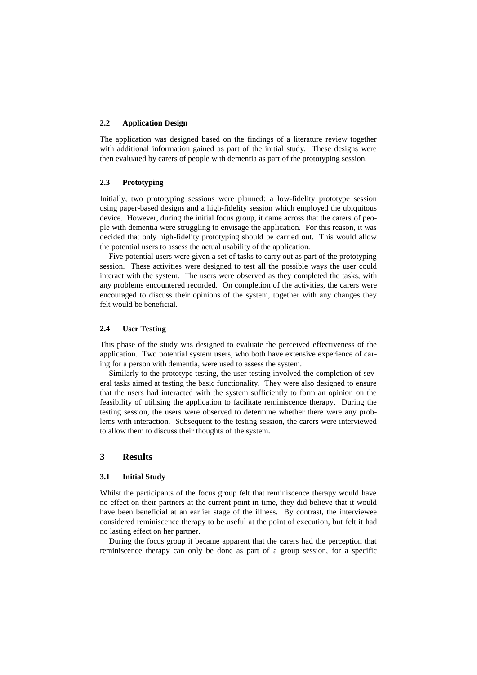## **2.2 Application Design**

The application was designed based on the findings of a literature review together with additional information gained as part of the initial study. These designs were then evaluated by carers of people with dementia as part of the prototyping session.

# **2.3 Prototyping**

Initially, two prototyping sessions were planned: a low-fidelity prototype session using paper-based designs and a high-fidelity session which employed the ubiquitous device. However, during the initial focus group, it came across that the carers of people with dementia were struggling to envisage the application. For this reason, it was decided that only high-fidelity prototyping should be carried out. This would allow the potential users to assess the actual usability of the application.

Five potential users were given a set of tasks to carry out as part of the prototyping session. These activities were designed to test all the possible ways the user could interact with the system. The users were observed as they completed the tasks, with any problems encountered recorded. On completion of the activities, the carers were encouraged to discuss their opinions of the system, together with any changes they felt would be beneficial.

## **2.4 User Testing**

This phase of the study was designed to evaluate the perceived effectiveness of the application. Two potential system users, who both have extensive experience of caring for a person with dementia, were used to assess the system.

Similarly to the prototype testing, the user testing involved the completion of several tasks aimed at testing the basic functionality. They were also designed to ensure that the users had interacted with the system sufficiently to form an opinion on the feasibility of utilising the application to facilitate reminiscence therapy. During the testing session, the users were observed to determine whether there were any problems with interaction. Subsequent to the testing session, the carers were interviewed to allow them to discuss their thoughts of the system.

# **3 Results**

## **3.1 Initial Study**

Whilst the participants of the focus group felt that reminiscence therapy would have no effect on their partners at the current point in time, they did believe that it would have been beneficial at an earlier stage of the illness. By contrast, the interviewee considered reminiscence therapy to be useful at the point of execution, but felt it had no lasting effect on her partner.

During the focus group it became apparent that the carers had the perception that reminiscence therapy can only be done as part of a group session, for a specific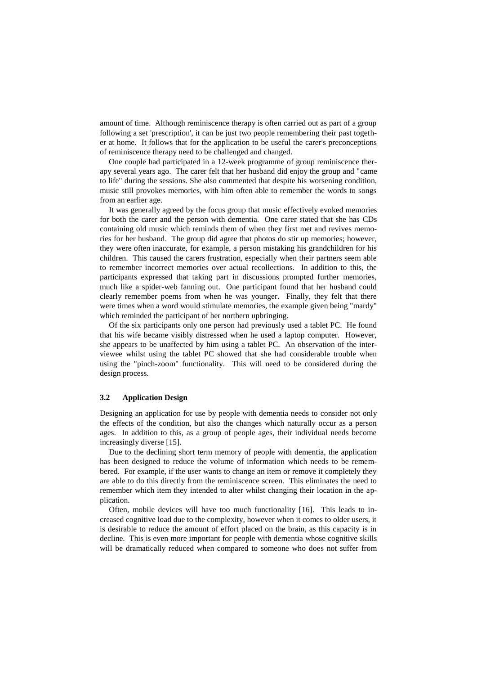amount of time. Although reminiscence therapy is often carried out as part of a group following a set 'prescription', it can be just two people remembering their past together at home. It follows that for the application to be useful the carer's preconceptions of reminiscence therapy need to be challenged and changed.

One couple had participated in a 12-week programme of group reminiscence therapy several years ago. The carer felt that her husband did enjoy the group and "came to life" during the sessions. She also commented that despite his worsening condition, music still provokes memories, with him often able to remember the words to songs from an earlier age.

It was generally agreed by the focus group that music effectively evoked memories for both the carer and the person with dementia. One carer stated that she has CDs containing old music which reminds them of when they first met and revives memories for her husband. The group did agree that photos do stir up memories; however, they were often inaccurate, for example, a person mistaking his grandchildren for his children. This caused the carers frustration, especially when their partners seem able to remember incorrect memories over actual recollections. In addition to this, the participants expressed that taking part in discussions prompted further memories, much like a spider-web fanning out. One participant found that her husband could clearly remember poems from when he was younger. Finally, they felt that there were times when a word would stimulate memories, the example given being "mardy" which reminded the participant of her northern upbringing.

Of the six participants only one person had previously used a tablet PC. He found that his wife became visibly distressed when he used a laptop computer. However, she appears to be unaffected by him using a tablet PC. An observation of the interviewee whilst using the tablet PC showed that she had considerable trouble when using the "pinch-zoom" functionality. This will need to be considered during the design process.

## **3.2 Application Design**

Designing an application for use by people with dementia needs to consider not only the effects of the condition, but also the changes which naturally occur as a person ages. In addition to this, as a group of people ages, their individual needs become increasingly diverse [15].

Due to the declining short term memory of people with dementia, the application has been designed to reduce the volume of information which needs to be remembered. For example, if the user wants to change an item or remove it completely they are able to do this directly from the reminiscence screen. This eliminates the need to remember which item they intended to alter whilst changing their location in the application.

Often, mobile devices will have too much functionality [16]. This leads to increased cognitive load due to the complexity, however when it comes to older users, it is desirable to reduce the amount of effort placed on the brain, as this capacity is in decline. This is even more important for people with dementia whose cognitive skills will be dramatically reduced when compared to someone who does not suffer from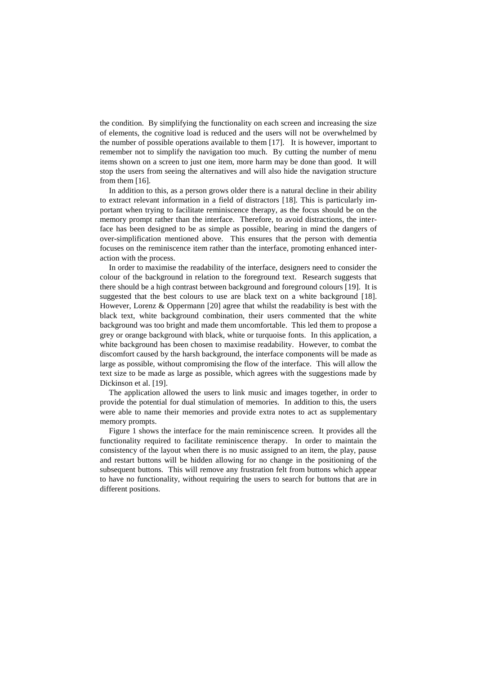the condition. By simplifying the functionality on each screen and increasing the size of elements, the cognitive load is reduced and the users will not be overwhelmed by the number of possible operations available to them [17]. It is however, important to remember not to simplify the navigation too much. By cutting the number of menu items shown on a screen to just one item, more harm may be done than good. It will stop the users from seeing the alternatives and will also hide the navigation structure from them [16].

In addition to this, as a person grows older there is a natural decline in their ability to extract relevant information in a field of distractors [18]. This is particularly important when trying to facilitate reminiscence therapy, as the focus should be on the memory prompt rather than the interface. Therefore, to avoid distractions, the interface has been designed to be as simple as possible, bearing in mind the dangers of over-simplification mentioned above. This ensures that the person with dementia focuses on the reminiscence item rather than the interface, promoting enhanced interaction with the process.

In order to maximise the readability of the interface, designers need to consider the colour of the background in relation to the foreground text. Research suggests that there should be a high contrast between background and foreground colours [19]. It is suggested that the best colours to use are black text on a white background [18]. However, Lorenz & Oppermann [20] agree that whilst the readability is best with the black text, white background combination, their users commented that the white background was too bright and made them uncomfortable. This led them to propose a grey or orange background with black, white or turquoise fonts. In this application, a white background has been chosen to maximise readability. However, to combat the discomfort caused by the harsh background, the interface components will be made as large as possible, without compromising the flow of the interface. This will allow the text size to be made as large as possible, which agrees with the suggestions made by Dickinson et al. [19].

The application allowed the users to link music and images together, in order to provide the potential for dual stimulation of memories. In addition to this, the users were able to name their memories and provide extra notes to act as supplementary memory prompts.

Figure 1 shows the interface for the main reminiscence screen. It provides all the functionality required to facilitate reminiscence therapy. In order to maintain the consistency of the layout when there is no music assigned to an item, the play, pause and restart buttons will be hidden allowing for no change in the positioning of the subsequent buttons. This will remove any frustration felt from buttons which appear to have no functionality, without requiring the users to search for buttons that are in different positions.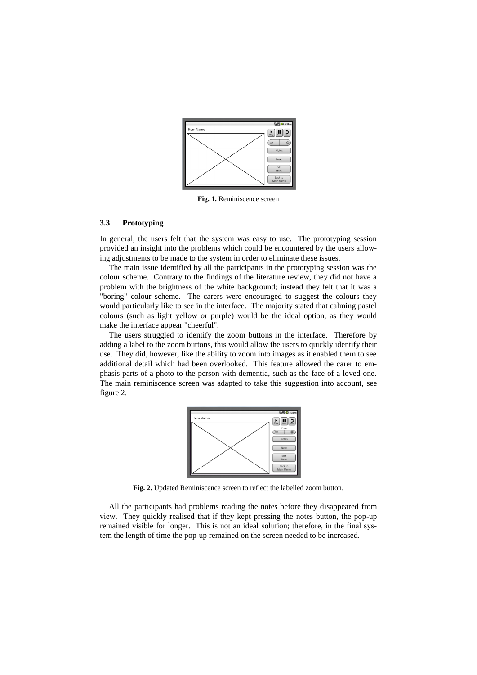

**Fig. 1.** Reminiscence screen

# **3.3 Prototyping**

In general, the users felt that the system was easy to use. The prototyping session provided an insight into the problems which could be encountered by the users allowing adjustments to be made to the system in order to eliminate these issues.

The main issue identified by all the participants in the prototyping session was the colour scheme. Contrary to the findings of the literature review, they did not have a problem with the brightness of the white background; instead they felt that it was a "boring" colour scheme. The carers were encouraged to suggest the colours they would particularly like to see in the interface. The majority stated that calming pastel colours (such as light yellow or purple) would be the ideal option, as they would make the interface appear "cheerful".

The users struggled to identify the zoom buttons in the interface. Therefore by adding a label to the zoom buttons, this would allow the users to quickly identify their use. They did, however, like the ability to zoom into images as it enabled them to see additional detail which had been overlooked. This feature allowed the carer to emphasis parts of a photo to the person with dementia, such as the face of a loved one. The main reminiscence screen was adapted to take this suggestion into account, see figure 2.



**Fig. 2.** Updated Reminiscence screen to reflect the labelled zoom button.

All the participants had problems reading the notes before they disappeared from view. They quickly realised that if they kept pressing the notes button, the pop-up remained visible for longer. This is not an ideal solution; therefore, in the final system the length of time the pop-up remained on the screen needed to be increased.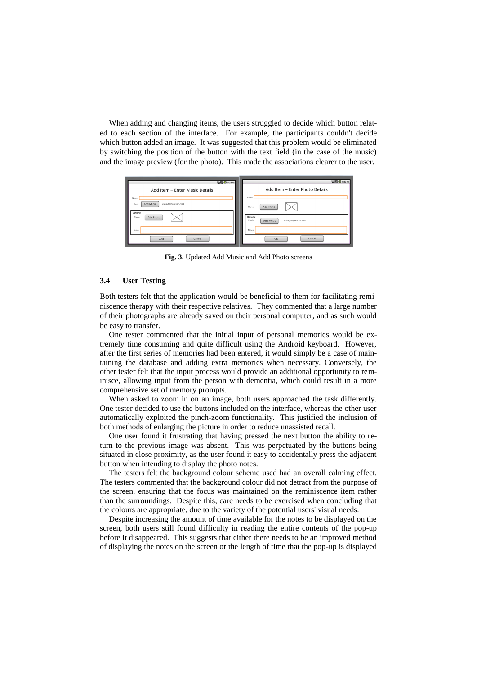When adding and changing items, the users struggled to decide which button related to each section of the interface. For example, the participants couldn't decide which button added an image. It was suggested that this problem would be eliminated by switching the position of the button with the text field (in the case of the music) and the image preview (for the photo). This made the associations clearer to the user.

| <b>输图 3:33 mm</b>                                          | <b>MBI G</b> 5:33 AM                                       |
|------------------------------------------------------------|------------------------------------------------------------|
| Add Item - Enter Music Details                             | Add Item - Enter Photo Details                             |
| Name:                                                      | Name:                                                      |
| Add Music<br>Music/file/location.mp3<br>Music:<br>Optional | Add Photo<br>Photo:                                        |
| Photo:<br>Add Photo                                        | Optional<br>Music:<br>Music/file/location.mp3<br>Add Music |
| Notes:                                                     | Notes:                                                     |
| Cancel<br>Add                                              | Cancel<br>Add                                              |

**Fig. 3.** Updated Add Music and Add Photo screens

#### **3.4 User Testing**

Both testers felt that the application would be beneficial to them for facilitating reminiscence therapy with their respective relatives. They commented that a large number of their photographs are already saved on their personal computer, and as such would be easy to transfer.

One tester commented that the initial input of personal memories would be extremely time consuming and quite difficult using the Android keyboard. However, after the first series of memories had been entered, it would simply be a case of maintaining the database and adding extra memories when necessary. Conversely, the other tester felt that the input process would provide an additional opportunity to reminisce, allowing input from the person with dementia, which could result in a more comprehensive set of memory prompts.

When asked to zoom in on an image, both users approached the task differently. One tester decided to use the buttons included on the interface, whereas the other user automatically exploited the pinch-zoom functionality. This justified the inclusion of both methods of enlarging the picture in order to reduce unassisted recall.

One user found it frustrating that having pressed the next button the ability to return to the previous image was absent. This was perpetuated by the buttons being situated in close proximity, as the user found it easy to accidentally press the adjacent button when intending to display the photo notes.

The testers felt the background colour scheme used had an overall calming effect. The testers commented that the background colour did not detract from the purpose of the screen, ensuring that the focus was maintained on the reminiscence item rather than the surroundings. Despite this, care needs to be exercised when concluding that the colours are appropriate, due to the variety of the potential users' visual needs.

Despite increasing the amount of time available for the notes to be displayed on the screen, both users still found difficulty in reading the entire contents of the pop-up before it disappeared. This suggests that either there needs to be an improved method of displaying the notes on the screen or the length of time that the pop-up is displayed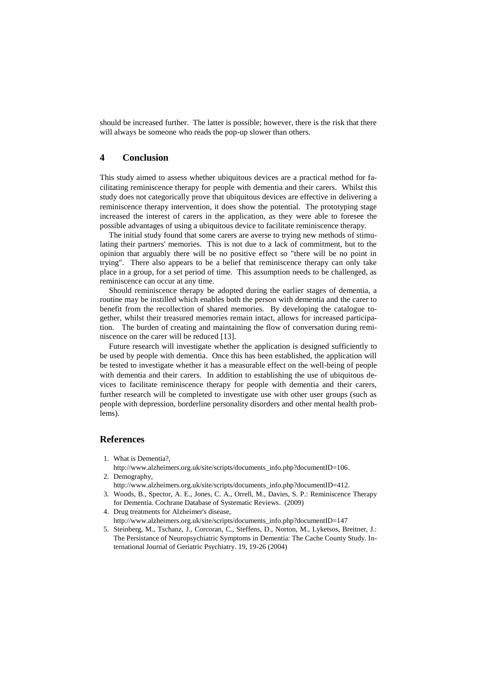should be increased further. The latter is possible; however, there is the risk that there will always be someone who reads the pop-up slower than others.

# **4 Conclusion**

This study aimed to assess whether ubiquitous devices are a practical method for facilitating reminiscence therapy for people with dementia and their carers. Whilst this study does not categorically prove that ubiquitous devices are effective in delivering a reminiscence therapy intervention, it does show the potential. The prototyping stage increased the interest of carers in the application, as they were able to foresee the possible advantages of using a ubiquitous device to facilitate reminiscence therapy.

The initial study found that some carers are averse to trying new methods of stimulating their partners' memories. This is not due to a lack of commitment, but to the opinion that arguably there will be no positive effect so "there will be no point in trying". There also appears to be a belief that reminiscence therapy can only take place in a group, for a set period of time. This assumption needs to be challenged, as reminiscence can occur at any time.

Should reminiscence therapy be adopted during the earlier stages of dementia, a routine may be instilled which enables both the person with dementia and the carer to benefit from the recollection of shared memories. By developing the catalogue together, whilst their treasured memories remain intact, allows for increased participation. The burden of creating and maintaining the flow of conversation during reminiscence on the carer will be reduced [13].

Future research will investigate whether the application is designed sufficiently to be used by people with dementia. Once this has been established, the application will be tested to investigate whether it has a measurable effect on the well-being of people with dementia and their carers. In addition to establishing the use of ubiquitous devices to facilitate reminiscence therapy for people with dementia and their carers, further research will be completed to investigate use with other user groups (such as people with depression, borderline personality disorders and other mental health problems).

## **References**

1. What is Dementia?,

[http://www.alzheimers.org.uk/site/scripts/documents\\_info.php?documentID=106.](http://www.alzheimers.org.uk/site/scripts/documents_info.php?documentID=106) 2. Demography,

- [http://www.alzheimers.org.uk/site/scripts/documents\\_info.php?documentID=412.](http://www.alzheimers.org.uk/site/scripts/documents_info.php?documentID=412)
- 3. Woods, B., Spector, A. E., Jones, C. A., Orrell, M., Davies, S. P.: Reminiscence Therapy for Dementia. Cochrane Database of Systematic Reviews. (2009)
- 4. Drug treatments for Alzheimer's disease, http://www.alzheimers.org.uk/site/scripts/documents\_info.php?documentID=147
- 5. Steinberg, M., Tschanz, J., Corcoran, C., Steffens, D., Norton, M., Lyketsos, Breitner, J.: The Persistance of Neuropsychiatric Symptoms in Dementia: The Cache County Study. International Journal of Geriatric Psychiatry. 19, 19-26 (2004)